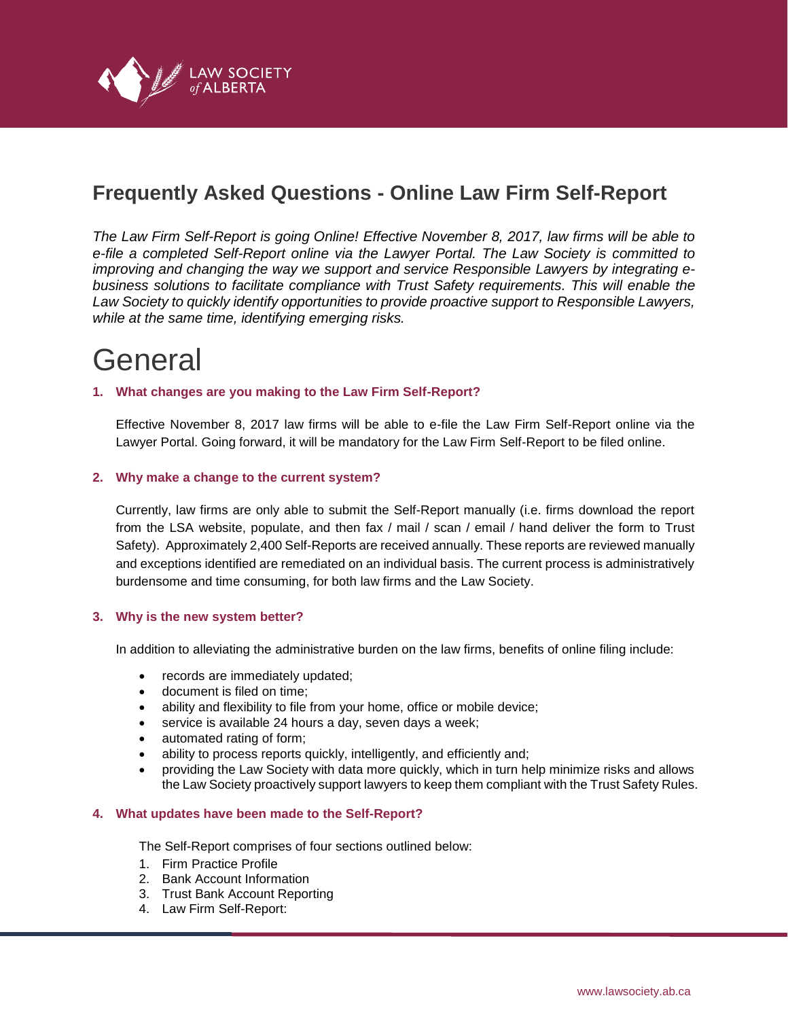

# **Frequently Asked Questions - Online Law Firm Self-Report**

*The Law Firm Self-Report is going Online! Effective November 8, 2017, law firms will be able to e-file a completed Self-Report online via the Lawyer Portal. The Law Society is committed to improving and changing the way we support and service Responsible Lawyers by integrating ebusiness solutions to facilitate compliance with Trust Safety requirements. This will enable the Law Society to quickly identify opportunities to provide proactive support to Responsible Lawyers, while at the same time, identifying emerging risks.*

# General

# **1. What changes are you making to the Law Firm Self-Report?**

Effective November 8, 2017 law firms will be able to e-file the Law Firm Self-Report online via the Lawyer Portal. Going forward, it will be mandatory for the Law Firm Self-Report to be filed online.

# **2. Why make a change to the current system?**

Currently, law firms are only able to submit the Self-Report manually (i.e. firms download the report from the LSA website, populate, and then fax / mail / scan / email / hand deliver the form to Trust Safety). Approximately 2,400 Self-Reports are received annually. These reports are reviewed manually and exceptions identified are remediated on an individual basis. The current process is administratively burdensome and time consuming, for both law firms and the Law Society.

#### **3. Why is the new system better?**

In addition to alleviating the administrative burden on the law firms, benefits of online filing include:

- records are immediately updated;
- document is filed on time;
- ability and flexibility to file from your home, office or mobile device;
- service is available 24 hours a day, seven days a week;
- automated rating of form;
- ability to process reports quickly, intelligently, and efficiently and;
- providing the Law Society with data more quickly, which in turn help minimize risks and allows the Law Society proactively support lawyers to keep them compliant with the Trust Safety Rules.

#### **4. What updates have been made to the Self-Report?**

The Self-Report comprises of four sections outlined below:

- 1. Firm Practice Profile
- 2. Bank Account Information
- 3. Trust Bank Account Reporting
- 4. Law Firm Self-Report: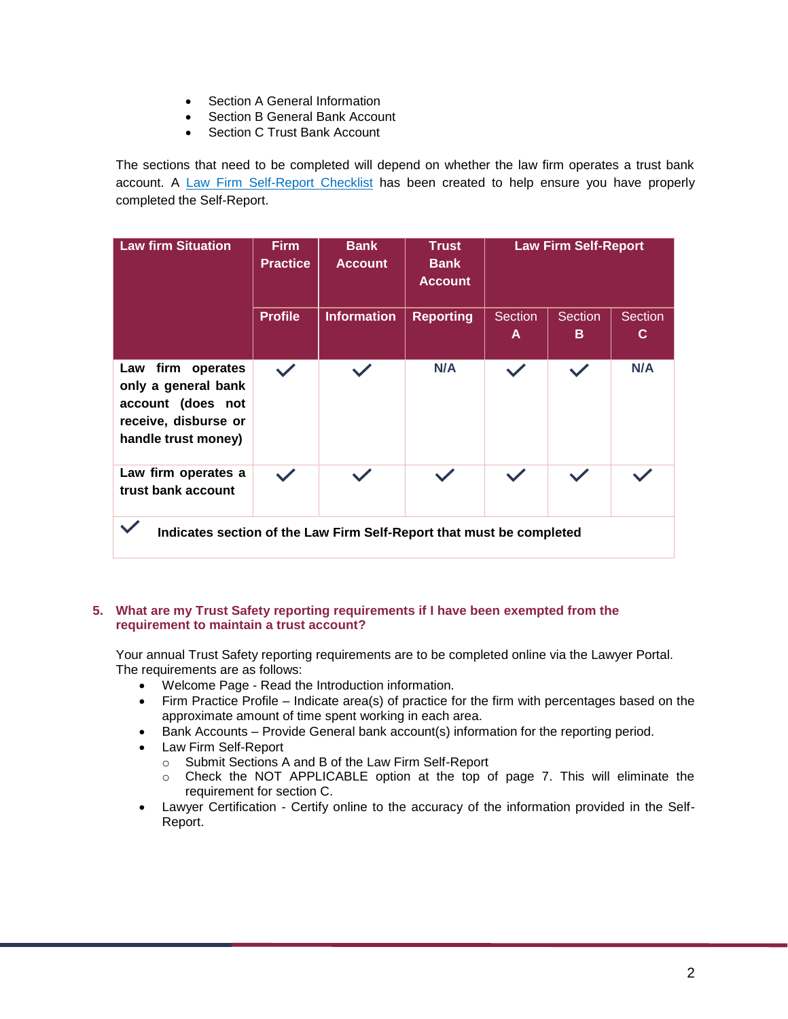- Section A General Information
- Section B General Bank Account
- Section C Trust Bank Account

The sections that need to be completed will depend on whether the law firm operates a trust bank account. A [Law Firm Self-Report Checklist](https://dvbat5idxh7ib.cloudfront.net/wp-content/uploads/2017/01/Form_5-TS_Law_Firm_Self_Report_Checklist_Jan2018.pdf) has been created to help ensure you have properly completed the Self-Report.

| <b>Law firm Situation</b>                                                                                    | <b>Firm</b><br><b>Practice</b> | <b>Bank</b><br><b>Account</b> | <b>Trust</b><br><b>Bank</b><br><b>Account</b> | <b>Law Firm Self-Report</b> |                     |                     |
|--------------------------------------------------------------------------------------------------------------|--------------------------------|-------------------------------|-----------------------------------------------|-----------------------------|---------------------|---------------------|
|                                                                                                              | <b>Profile</b>                 | <b>Information</b>            | <b>Reporting</b>                              | <b>Section</b><br>A         | <b>Section</b><br>B | <b>Section</b><br>C |
| Law firm operates<br>only a general bank<br>account (does not<br>receive, disburse or<br>handle trust money) | $\checkmark$                   |                               | N/A                                           |                             | $\checkmark$        | N/A                 |
| Law firm operates a<br>trust bank account                                                                    |                                |                               |                                               |                             |                     |                     |
| Indicates section of the Law Firm Self-Report that must be completed                                         |                                |                               |                                               |                             |                     |                     |

# **5. What are my Trust Safety reporting requirements if I have been exempted from the requirement to maintain a trust account?**

Your annual Trust Safety reporting requirements are to be completed online via the Lawyer Portal. The requirements are as follows:

- Welcome Page Read the Introduction information.
- Firm Practice Profile Indicate area(s) of practice for the firm with percentages based on the approximate amount of time spent working in each area.
- Bank Accounts Provide General bank account(s) information for the reporting period.
- Law Firm Self-Report
	- o Submit Sections A and B of the Law Firm Self-Report
	- o Check the NOT APPLICABLE option at the top of page 7. This will eliminate the requirement for section C.
- Lawyer Certification Certify online to the accuracy of the information provided in the Self-Report.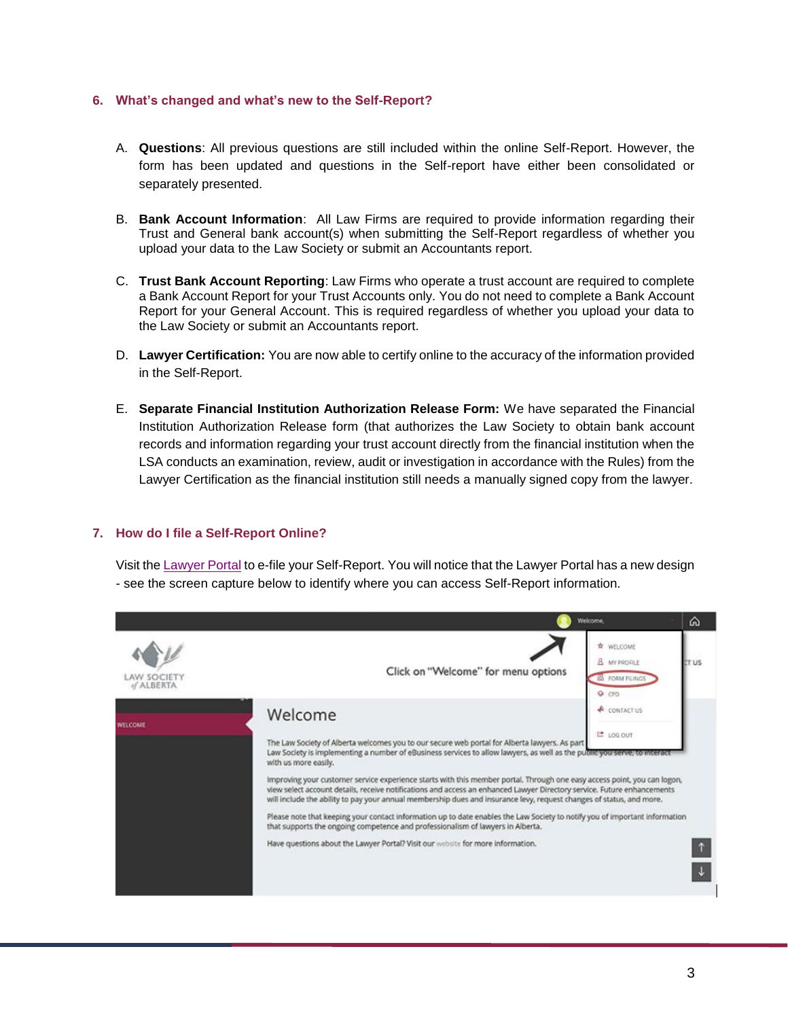#### **6. What's changed and what's new to the Self-Report?**

- A. **Questions**: All previous questions are still included within the online Self-Report. However, the form has been updated and questions in the Self-report have either been consolidated or separately presented.
- B. **Bank Account Information**: All Law Firms are required to provide information regarding their Trust and General bank account(s) when submitting the Self-Report regardless of whether you upload your data to the Law Society or submit an Accountants report.
- C. **Trust Bank Account Reporting**: Law Firms who operate a trust account are required to complete a Bank Account Report for your Trust Accounts only. You do not need to complete a Bank Account Report for your General Account. This is required regardless of whether you upload your data to the Law Society or submit an Accountants report.
- D. **Lawyer Certification:** You are now able to certify online to the accuracy of the information provided in the Self-Report.
- E. **Separate Financial Institution Authorization Release Form:** We have separated the Financial Institution Authorization Release form (that authorizes the Law Society to obtain bank account records and information regarding your trust account directly from the financial institution when the LSA conducts an examination, review, audit or investigation in accordance with the Rules) from the Lawyer Certification as the financial institution still needs a manually signed copy from the lawyer.

#### **7. How do I file a Self-Report Online?**

Visit the [Lawyer Portal](https://lsa.memberpro.net/main/body.cfm?menu=login) to e-file your Self-Report. You will notice that the Lawyer Portal has a new design - see the screen capture below to identify where you can access Self-Report information.

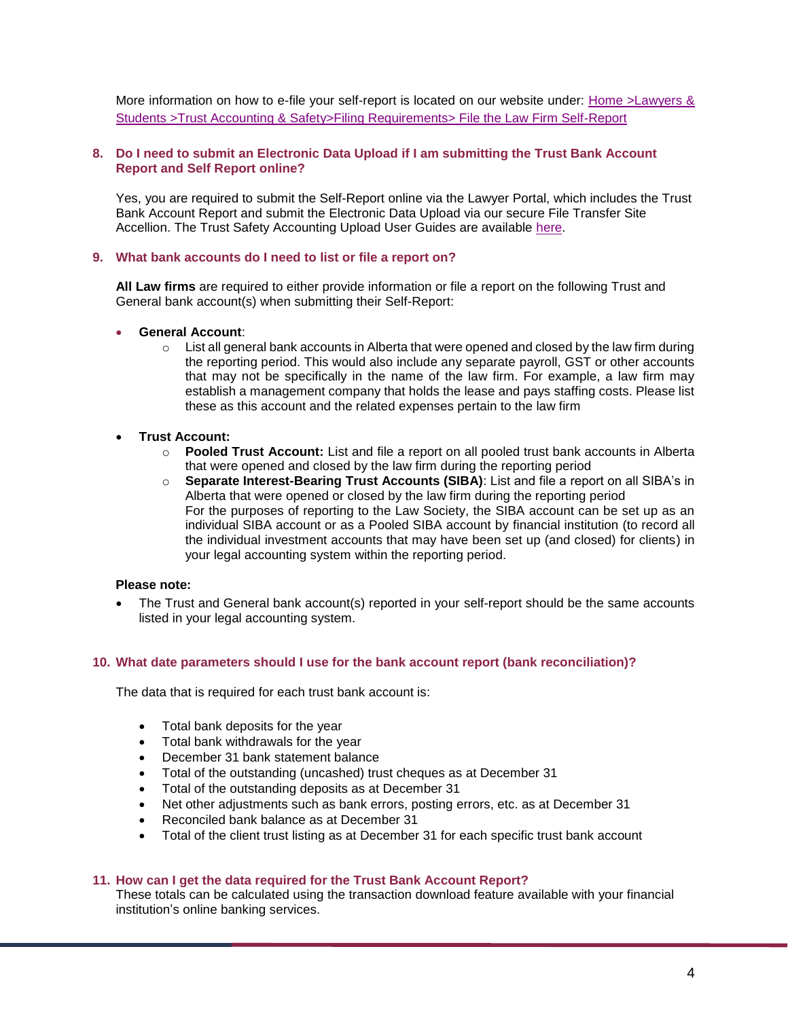More information on how to e-file your self-report is located on our website under: [Home >Lawyers &](https://www.lawsociety.ab.ca/lawyers-and-students/trust-accounting-and-safety/filing-requirements-2/law-firm-self-report/)  [Students >Trust Accounting & Safety>Filing Requirements> File the Law Firm Self-Report](https://www.lawsociety.ab.ca/lawyers-and-students/trust-accounting-and-safety/filing-requirements-2/law-firm-self-report/)

# **8. Do I need to submit an Electronic Data Upload if I am submitting the Trust Bank Account Report and Self Report online?**

Yes, you are required to submit the Self-Report online via the Lawyer Portal, which includes the Trust Bank Account Report and submit the Electronic Data Upload via our secure File Transfer Site Accellion. The Trust Safety Accounting Upload User Guides are available [here.](https://www.lawsociety.ab.ca/lawyers-and-students/trust-accounting-and-safety/forms-for-financial-records-accounts-and-trusts/)

#### **9. What bank accounts do I need to list or file a report on?**

**All Law firms** are required to either provide information or file a report on the following Trust and General bank account(s) when submitting their Self-Report:

# • **General Account**:

 $\circ$  List all general bank accounts in Alberta that were opened and closed by the law firm during the reporting period. This would also include any separate payroll, GST or other accounts that may not be specifically in the name of the law firm. For example, a law firm may establish a management company that holds the lease and pays staffing costs. Please list these as this account and the related expenses pertain to the law firm

# • **Trust Account:**

- o **Pooled Trust Account:** List and file a report on all pooled trust bank accounts in Alberta that were opened and closed by the law firm during the reporting period
- o **Separate Interest-Bearing Trust Accounts (SIBA)**: List and file a report on all SIBA's in Alberta that were opened or closed by the law firm during the reporting period For the purposes of reporting to the Law Society, the SIBA account can be set up as an individual SIBA account or as a Pooled SIBA account by financial institution (to record all the individual investment accounts that may have been set up (and closed) for clients) in your legal accounting system within the reporting period.

# **Please note:**

• The Trust and General bank account(s) reported in your self-report should be the same accounts listed in your legal accounting system.

# **10. What date parameters should I use for the bank account report (bank reconciliation)?**

The data that is required for each trust bank account is:

- Total bank deposits for the year
- Total bank withdrawals for the year
- December 31 bank statement balance
- Total of the outstanding (uncashed) trust cheques as at December 31
- Total of the outstanding deposits as at December 31
- Net other adjustments such as bank errors, posting errors, etc. as at December 31
- Reconciled bank balance as at December 31
- Total of the client trust listing as at December 31 for each specific trust bank account

# **11. How can I get the data required for the Trust Bank Account Report?**

These totals can be calculated using the transaction download feature available with your financial institution's online banking services.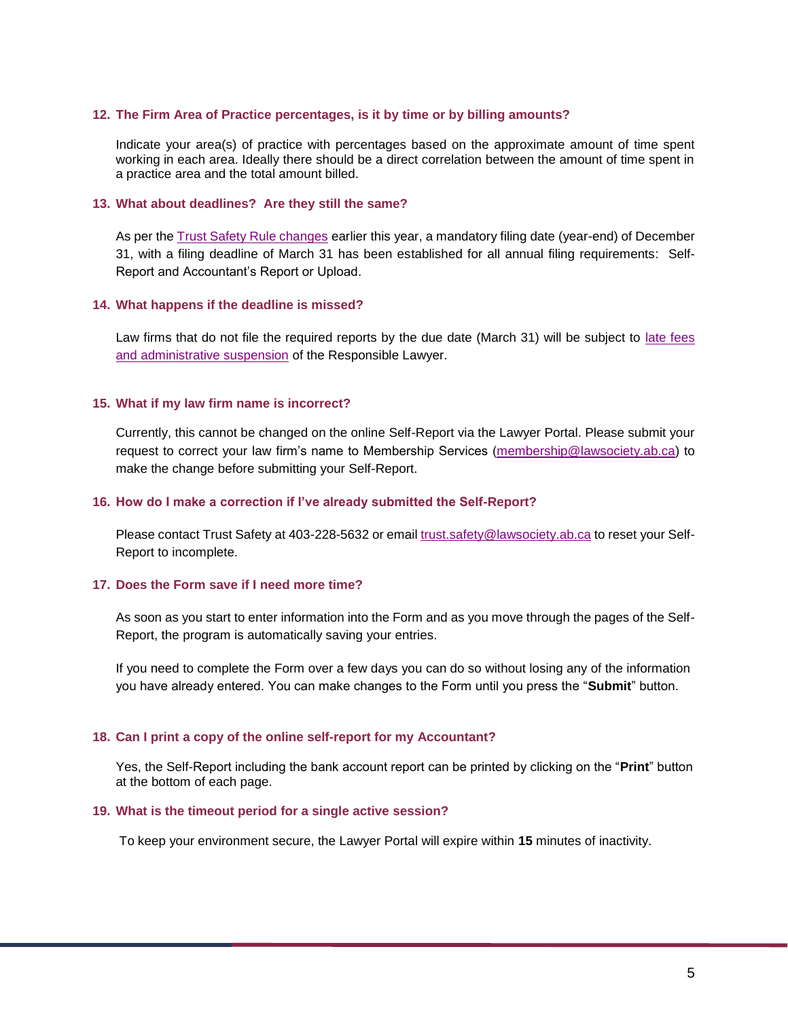#### **12. The Firm Area of Practice percentages, is it by time or by billing amounts?**

Indicate your area(s) of practice with percentages based on the approximate amount of time spent working in each area. Ideally there should be a direct correlation between the amount of time spent in a practice area and the total amount billed.

#### **13. What about deadlines? Are they still the same?**

As per the [Trust Safety Rule changes](https://www.lawsociety.ab.ca/lawyers-and-students/trust-accounting-and-safety/trust-safety-changes/) earlier this year, a mandatory filing date (year-end) of December 31, with a filing deadline of March 31 has been established for all annual filing requirements: Self-Report and Accountant's Report or Upload.

#### **14. What happens if the deadline is missed?**

Law firms that do not file the required reports by the due date (March 31) will be subject to [late fees](https://www.lawsociety.ab.ca/lawyers-and-students/trust-accounting-and-safety/trust-safety-changes/)  [and administrative suspension](https://www.lawsociety.ab.ca/lawyers-and-students/trust-accounting-and-safety/trust-safety-changes/) of the Responsible Lawyer.

#### **15. What if my law firm name is incorrect?**

Currently, this cannot be changed on the online Self-Report via the Lawyer Portal. Please submit your request to correct your law firm's name to Membership Services [\(membership@lawsociety.ab.ca\)](mailto:membership@lawsociety.ab.ca) to make the change before submitting your Self-Report.

#### **16. How do I make a correction if I've already submitted the Self-Report?**

Please contact Trust Safety at 403-228-5632 or email [trust.safety@lawsociety.ab.ca](mailto:trust.safety@lawsociety.ab.ca) to reset your Self-Report to incomplete.

# **17. Does the Form save if I need more time?**

As soon as you start to enter information into the Form and as you move through the pages of the Self-Report, the program is automatically saving your entries.

If you need to complete the Form over a few days you can do so without losing any of the information you have already entered. You can make changes to the Form until you press the "**Submit**" button.

#### **18. Can I print a copy of the online self-report for my Accountant?**

Yes, the Self-Report including the bank account report can be printed by clicking on the "**Print**" button at the bottom of each page.

#### **19. What is the timeout period for a single active session?**

To keep your environment secure, the Lawyer Portal will expire within **15** minutes of inactivity.